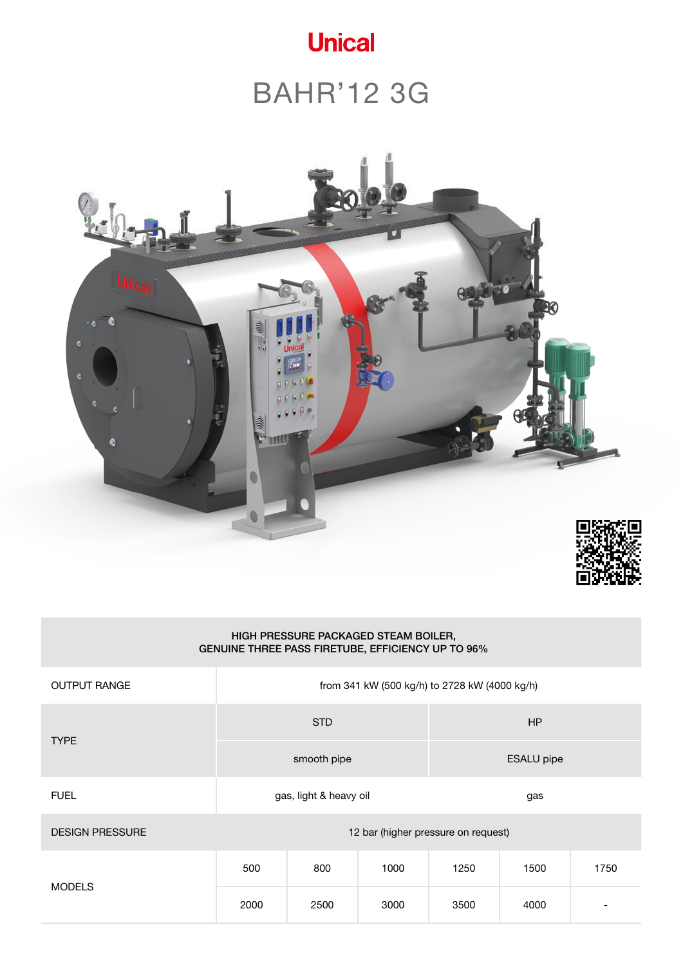

# BAHR'12 3G





| HIGH PRESSURE PACKAGED STEAM BOILER,<br>GENUINE THREE PASS FIRETUBE, EFFICIENCY UP TO 96% |                                               |                        |      |                   |      |      |  |  |  |  |  |
|-------------------------------------------------------------------------------------------|-----------------------------------------------|------------------------|------|-------------------|------|------|--|--|--|--|--|
| <b>OUTPUT RANGE</b>                                                                       | from 341 kW (500 kg/h) to 2728 kW (4000 kg/h) |                        |      |                   |      |      |  |  |  |  |  |
|                                                                                           |                                               | <b>STD</b>             |      | HP                |      |      |  |  |  |  |  |
| <b>TYPE</b>                                                                               |                                               | smooth pipe            |      | <b>ESALU</b> pipe |      |      |  |  |  |  |  |
| <b>FUEL</b>                                                                               |                                               | gas, light & heavy oil |      | gas               |      |      |  |  |  |  |  |
| <b>DESIGN PRESSURE</b>                                                                    | 12 bar (higher pressure on request)           |                        |      |                   |      |      |  |  |  |  |  |
|                                                                                           | 500                                           | 800                    | 1000 | 1250              | 1500 | 1750 |  |  |  |  |  |
| <b>MODELS</b>                                                                             | 2000                                          | 2500                   | 3000 | 3500              | 4000 |      |  |  |  |  |  |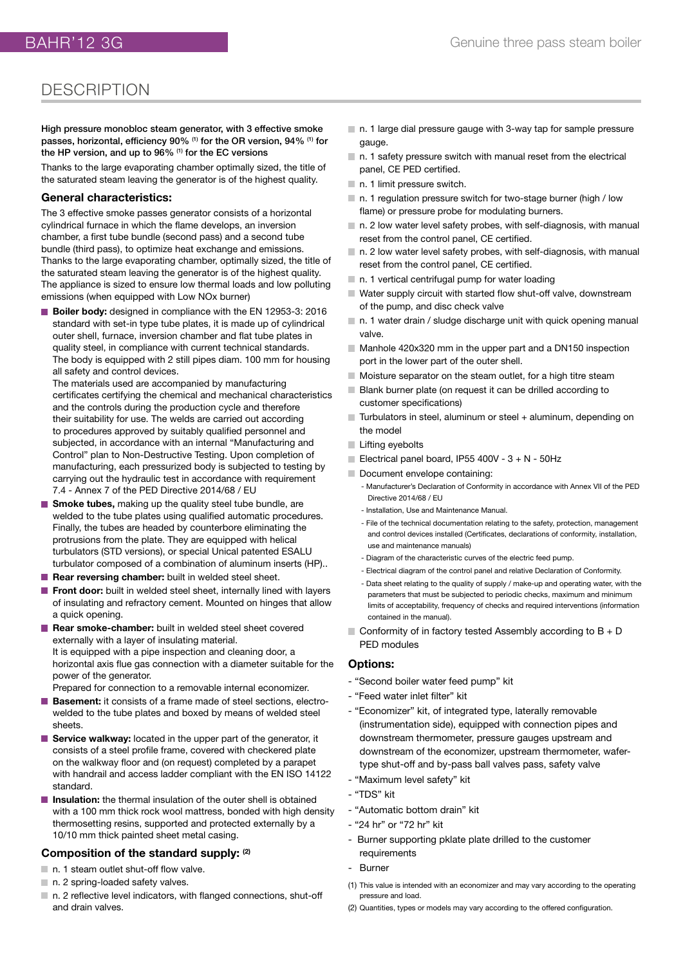### **DESCRIPTION**

High pressure monobloc steam generator, with 3 effective smoke passes, horizontal, efficiency 90% <sup>(1)</sup> for the OR version, 94% <sup>(1)</sup> for the HP version, and up to 96% (1) for the EC versions

Thanks to the large evaporating chamber optimally sized, the title of the saturated steam leaving the generator is of the highest quality.

#### **General characteristics:**

The 3 effective smoke passes generator consists of a horizontal cylindrical furnace in which the flame develops, an inversion chamber, a first tube bundle (second pass) and a second tube bundle (third pass), to optimize heat exchange and emissions. Thanks to the large evaporating chamber, optimally sized, the title of the saturated steam leaving the generator is of the highest quality. The appliance is sized to ensure low thermal loads and low polluting emissions (when equipped with Low NOx burner)

**Boiler body:** designed in compliance with the EN 12953-3: 2016 standard with set-in type tube plates, it is made up of cylindrical outer shell, furnace, inversion chamber and flat tube plates in quality steel, in compliance with current technical standards. The body is equipped with 2 still pipes diam. 100 mm for housing all safety and control devices.

The materials used are accompanied by manufacturing certificates certifying the chemical and mechanical characteristics and the controls during the production cycle and therefore their suitability for use. The welds are carried out according to procedures approved by suitably qualified personnel and subjected, in accordance with an internal "Manufacturing and Control" plan to Non-Destructive Testing. Upon completion of manufacturing, each pressurized body is subjected to testing by carrying out the hydraulic test in accordance with requirement 7.4 - Annex 7 of the PED Directive 2014/68 / EU

- **Smoke tubes, making up the quality steel tube bundle, are** welded to the tube plates using qualified automatic procedures. Finally, the tubes are headed by counterbore eliminating the protrusions from the plate. They are equipped with helical turbulators (STD versions), or special Unical patented ESALU turbulator composed of a combination of aluminum inserts (HP)..
- **Rear reversing chamber:** built in welded steel sheet.
- **Front door:** built in welded steel sheet, internally lined with layers of insulating and refractory cement. Mounted on hinges that allow a quick opening.
- Rear smoke-chamber: built in welded steel sheet covered externally with a layer of insulating material. It is equipped with a pipe inspection and cleaning door, a horizontal axis flue gas connection with a diameter suitable for the power of the generator.
- Prepared for connection to a removable internal economizer.
- **Basement:** it consists of a frame made of steel sections, electrowelded to the tube plates and boxed by means of welded steel sheets.
- **Service walkway:** located in the upper part of the generator, it consists of a steel profile frame, covered with checkered plate on the walkway floor and (on request) completed by a parapet with handrail and access ladder compliant with the EN ISO 14122 standard.
- **Insulation:** the thermal insulation of the outer shell is obtained with a 100 mm thick rock wool mattress, bonded with high density thermosetting resins, supported and protected externally by a 10/10 mm thick painted sheet metal casing.

#### **Composition of the standard supply: (2)**

- n. 1 steam outlet shut-off flow valve.
- n. 2 spring-loaded safety valves.
- n. 2 reflective level indicators, with flanged connections, shut-off and drain valves.
- n. 1 large dial pressure gauge with 3-way tap for sample pressure gauge.
- $\blacksquare$  n. 1 safety pressure switch with manual reset from the electrical panel, CE PED certified.
- n. 1 limit pressure switch.
- n. 1 regulation pressure switch for two-stage burner (high / low flame) or pressure probe for modulating burners.
- $\blacksquare$  n. 2 low water level safety probes, with self-diagnosis, with manual reset from the control panel, CE certified.
- $\blacksquare$  n. 2 low water level safety probes, with self-diagnosis, with manual reset from the control panel, CE certified.
- n. 1 vertical centrifugal pump for water loading
- Water supply circuit with started flow shut-off valve, downstream of the pump, and disc check valve
- $\blacksquare$  n. 1 water drain / sludge discharge unit with quick opening manual valve.
- Manhole 420x320 mm in the upper part and a DN150 inspection port in the lower part of the outer shell.
- $\blacksquare$  Moisture separator on the steam outlet, for a high titre steam
- Blank burner plate (on request it can be drilled according to customer specifications)
- Turbulators in steel, aluminum or steel + aluminum, depending on the model
- **Lifting eyebolts**
- Electrical panel board, IP55 400V  $3 + N 50$ Hz
- Document envelope containing:
	- Manufacturer's Declaration of Conformity in accordance with Annex VII of the PED Directive 2014/68 / EU
	- Installation, Use and Maintenance Manual.
	- File of the technical documentation relating to the safety, protection, management and control devices installed (Certificates, declarations of conformity, installation, use and maintenance manuals)
	- Diagram of the characteristic curves of the electric feed pump.
	- Electrical diagram of the control panel and relative Declaration of Conformity.
	- Data sheet relating to the quality of supply / make-up and operating water, with the parameters that must be subjected to periodic checks, maximum and minimum limits of acceptability, frequency of checks and required interventions (information contained in the manual).
- $\blacksquare$  Conformity of in factory tested Assembly according to B + D PED modules

#### **Options:**

- "Second boiler water feed pump" kit
- "Feed water inlet filter" kit
- "Economizer" kit, of integrated type, laterally removable (instrumentation side), equipped with connection pipes and downstream thermometer, pressure gauges upstream and downstream of the economizer, upstream thermometer, wafertype shut-off and by-pass ball valves pass, safety valve
- "Maximum level safety" kit
- "TDS" kit
- "Automatic bottom drain" kit
- "24 hr" or "72 hr" kit
- Burner supporting pklate plate drilled to the customer requirements
- **Burner**
- (1) This value is intended with an economizer and may vary according to the operating pressure and load.
- (2) Quantities, types or models may vary according to the offered configuration.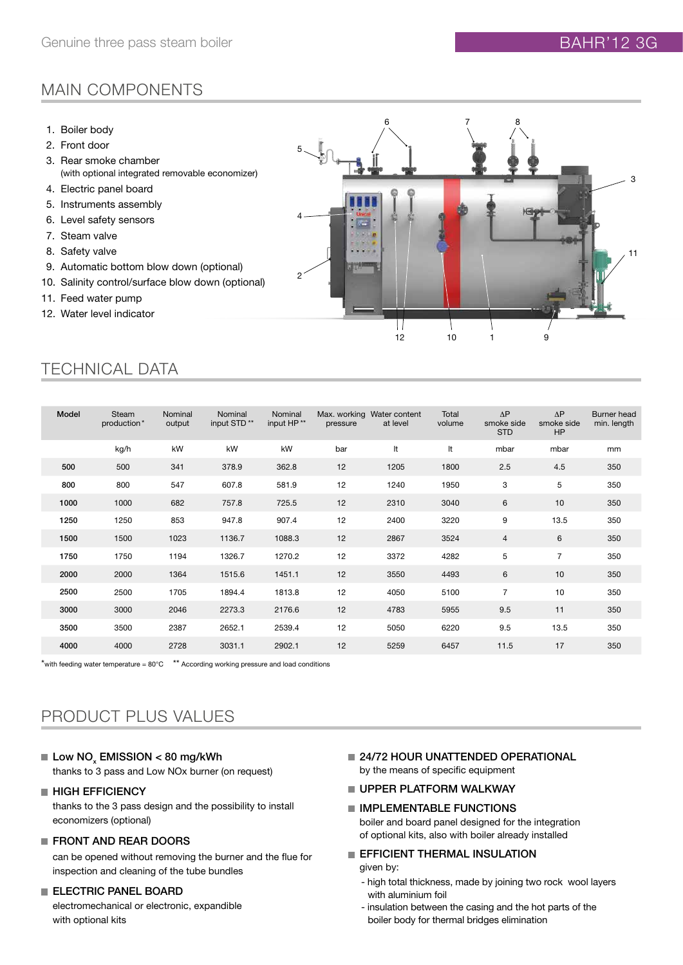### MAIN COMPONENTS

- 1. Boiler body
- 2. Front door
- 3. Rear smoke chamber (with optional integrated removable economizer)
- 4. Electric panel board
- 5. Instruments assembly
- 6. Level safety sensors
- 7. Steam valve
- 8. Safety valve
- 9. Automatic bottom blow down (optional)
- 10. Salinity control/surface blow down (optional)
- 11. Feed water pump
- 12. Water level indicator



### TECHNICAL DATA

| Model | Steam<br>production* | Nominal<br>output | Nominal<br>input STD <sup>**</sup> | Nominal<br>input HP** | pressure | Max. working Water content<br>at level | Total<br>volume | $\Delta P$<br>smoke side<br><b>STD</b> | $\Delta P$<br>smoke side<br>HP | Burner head<br>min. length |
|-------|----------------------|-------------------|------------------------------------|-----------------------|----------|----------------------------------------|-----------------|----------------------------------------|--------------------------------|----------------------------|
|       | kg/h                 | kW                | kW                                 | kW                    | bar      | It                                     | It              | mbar                                   | mbar                           | mm                         |
| 500   | 500                  | 341               | 378.9                              | 362.8                 | 12       | 1205                                   | 1800            | 2.5                                    | 4.5                            | 350                        |
| 800   | 800                  | 547               | 607.8                              | 581.9                 | 12       | 1240                                   | 1950            | 3                                      | 5                              | 350                        |
| 1000  | 1000                 | 682               | 757.8                              | 725.5                 | 12       | 2310                                   | 3040            | 6                                      | 10                             | 350                        |
| 1250  | 1250                 | 853               | 947.8                              | 907.4                 | 12       | 2400                                   | 3220            | 9                                      | 13.5                           | 350                        |
| 1500  | 1500                 | 1023              | 1136.7                             | 1088.3                | 12       | 2867                                   | 3524            | $\overline{4}$                         | 6                              | 350                        |
| 1750  | 1750                 | 1194              | 1326.7                             | 1270.2                | 12       | 3372                                   | 4282            | 5                                      | $\overline{7}$                 | 350                        |
| 2000  | 2000                 | 1364              | 1515.6                             | 1451.1                | 12       | 3550                                   | 4493            | 6                                      | 10                             | 350                        |
| 2500  | 2500                 | 1705              | 1894.4                             | 1813.8                | 12       | 4050                                   | 5100            | $\overline{7}$                         | 10                             | 350                        |
| 3000  | 3000                 | 2046              | 2273.3                             | 2176.6                | 12       | 4783                                   | 5955            | 9.5                                    | 11                             | 350                        |
| 3500  | 3500                 | 2387              | 2652.1                             | 2539.4                | 12       | 5050                                   | 6220            | 9.5                                    | 13.5                           | 350                        |
| 4000  | 4000                 | 2728              | 3031.1                             | 2902.1                | 12       | 5259                                   | 6457            | 11.5                                   | 17                             | 350                        |

\*with feeding water temperature =  $80^{\circ}$ C  $*$ \* According working pressure and load conditions

### PRODUCT PLUS VALUES

Low  $\mathsf{NO}_\mathsf{x}$  EMISSION  $<$  80 mg/kWh

thanks to 3 pass and Low NOx burner (on request)

#### **HIGH EFFICIENCY**

thanks to the 3 pass design and the possibility to install economizers (optional)

#### **FRONT AND REAR DOORS**

can be opened without removing the burner and the flue for inspection and cleaning of the tube bundles

#### **ELECTRIC PANEL BOARD**

electromechanical or electronic, expandible with optional kits

**24/72 HOUR UNATTENDED OPERATIONAL** by the means of specific equipment

#### UPPER PLATFORM WALKWAY

- **IMPLEMENTABLE FUNCTIONS** boiler and board panel designed for the integration
	- of optional kits, also with boiler already installed

#### **EFFICIENT THERMAL INSULATION** given by:

- high total thickness, made by joining two rock wool layers with aluminium foil
- insulation between the casing and the hot parts of the boiler body for thermal bridges elimination